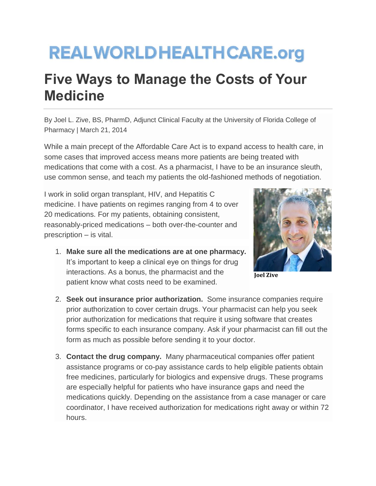## **REALWORLDHEALTHCARE.org**

## **Five Ways to Manage the Costs of Your Medicine**

By Joel L. Zive, BS, PharmD, Adjunct Clinical Faculty at the University of Florida College of Pharmacy | March 21, 2014

While a main precept of the Affordable Care Act is to expand access to health care, in some cases that improved access means more patients are being treated with medications that come with a cost. As a pharmacist, I have to be an insurance sleuth, use common sense, and teach my patients the old-fashioned methods of negotiation.

I work in solid organ transplant, HIV, and Hepatitis C medicine. I have patients on regimes ranging from 4 to over 20 medications. For my patients, obtaining consistent, reasonably-priced medications – both over-the-counter and prescription – is vital.

1. **Make sure all the medications are at one pharmacy.** It's important to keep a clinical eye on things for drug interactions. As a bonus, the pharmacist and the patient know what costs need to be examined.



**Joel Zive**

- 2. **Seek out insurance prior authorization.** Some insurance companies require prior authorization to cover certain drugs. Your pharmacist can help you seek prior authorization for medications that require it using software that creates forms specific to each insurance company. Ask if your pharmacist can fill out the form as much as possible before sending it to your doctor.
- 3. **Contact the drug company.** Many pharmaceutical companies offer patient assistance programs or co-pay assistance cards to help eligible patients obtain free medicines, particularly for biologics and expensive drugs. These programs are especially helpful for patients who have insurance gaps and need the medications quickly. Depending on the assistance from a case manager or care coordinator, I have received authorization for medications right away or within 72 hours.